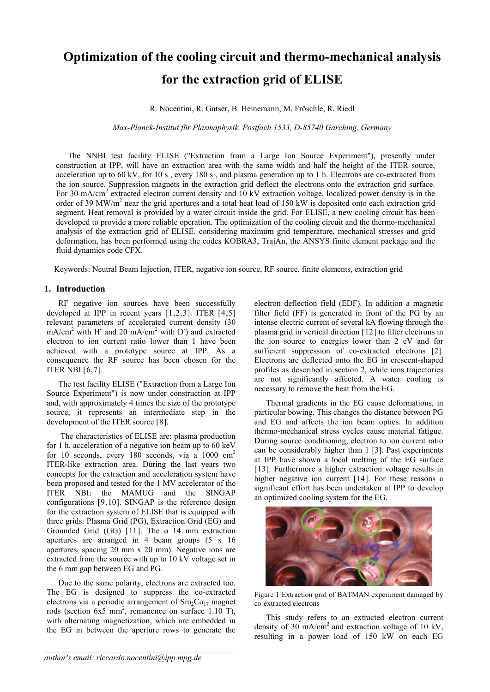# **Optimization of the cooling circuit and thermo-mechanical analysis for the extraction grid of ELISE**

R. Nocentini, R. Gutser, B. Heinemann, M. Fröschle, R. Riedl

## *Max-Planck-Institut für Plasmaphysik, Postfach 1533, D-85740 Garching, Germany*

The NNBI test facility ELISE ("Extraction from a Large Ion Source Experiment"), presently under construction at IPP, will have an extraction area with the same width and half the height of the ITER source, acceleration up to 60 kV, for 10 s , every 180 s , and plasma generation up to 1 h. Electrons are co-extracted from the ion source. Suppression magnets in the extraction grid deflect the electrons onto the extraction grid surface. For 30 mA/cm<sup>2</sup> extracted electron current density and 10 kV extraction voltage, localized power density is in the order of 39 MW/m<sup>2</sup> near the grid apertures and a total heat load of 150 kW is deposited onto each extraction grid segment. Heat removal is provided by a water circuit inside the grid. For ELISE, a new cooling circuit has been developed to provide a more reliable operation. The optimization of the cooling circuit and the thermo-mechanical analysis of the extraction grid of ELISE, considering maximum grid temperature, mechanical stresses and grid deformation, has been performed using the codes KOBRA3, TrajAn, the ANSYS finite element package and the fluid dynamics code CFX.

Keywords: Neutral Beam Injection, ITER, negative ion source, RF source, finite elements, extraction grid

# **1. Introduction**

<span id="page-0-0"></span>RF negative ion sources have been successfully developed at IPP in recent years [[1](#page-3-0),[2](#page-3-1),[3](#page-3-1)]. ITER [[4](#page-3-1),[5](#page-3-1)] relevant parameters of accelerated current density (30  $mA/cm<sup>2</sup>$  with H<sup>-</sup> and 20 mA/cm<sup>2</sup> with D<sup>-</sup>) and extracted electron to ion current ratio lower than 1 have been achieved with a prototype source at IPP. As a consequence the RF source has been chosen for the ITER NBI [[6](#page-3-1),[7](#page-3-1)].

The test facility ELISE ("Extraction from a Large Ion Source Experiment") is now under construction at IPP and, with approximately 4 times the size of the prototype source, it represents an intermediate step in the development of the ITER source [[8](#page-3-1)].

 The characteristics of ELISE are: plasma production for 1 h, acceleration of a negative ion beam up to 60 keV for 10 seconds, every 180 seconds, via a  $1000 \text{ cm}^2$ ITER-like extraction area. During the last years two concepts for the extraction and acceleration system have been proposed and tested for the 1 MV accelerator of the ITER NBI: the MAMUG and the SINGAP configurations [[9](#page-3-1),[10](#page-3-1)]. SINGAP is the reference design for the extraction system of ELISE that is equipped with three grids: Plasma Grid (PG), Extraction Grid (EG) and Grounded Grid (GG) [[11](#page-3-1)]. The ø 14 mm extraction apertures are arranged in 4 beam groups (5 x 16 apertures, spacing 20 mm x 20 mm). Negative ions are extracted from the source with up to 10 kV voltage set in the 6 mm gap between EG and PG.

Due to the same polarity, electrons are extracted too. The EG is designed to suppress the co-extracted electrons via a periodic arrangement of  $Sm_2Co_{17}$  magnet rods (section  $6x5 \text{ mm}^2$ , remanence on surface 1.10 T), with alternating magnetization, which are embedded in the EG in between the aperture rows to generate the

 $\mathcal{L}_\mathcal{L} = \{ \mathcal{L}_\mathcal{L} = \{ \mathcal{L}_\mathcal{L} \}$ 

electron deflection field (EDF). In addition a magnetic filter field (FF) is generated in front of the PG by an intense electric current of several kA flowing through the plasma grid in vertical direction [[12](#page-3-1)] to filter electrons in the ion source to energies lower than 2 eV and for sufficient suppression of co-extracted electrons [[2\]](#page-0-0). Electrons are deflected onto the EG in crescent-shaped profiles as described in section 2, while ions trajectories are not significantly affected. A water cooling is necessary to remove the heat from the EG.

Thermal gradients in the EG cause deformations, in particular bowing. This changes the distance between PG and EG and affects the ion beam optics. In addition thermo-mechanical stress cycles cause material fatigue. During source conditioning, electron to ion current ratio can be considerably higher than 1 [\[3](#page-0-0)]. Past experiments at IPP have shown a local melting of the EG surface [[13](#page-3-1)]. Furthermore a higher extraction voltage results in higher negative ion current [[14](#page-3-1)]. For these reasons a significant effort has been undertaken at IPP to develop an optimized cooling system for the EG.



Figure 1 Extraction grid of BATMAN experiment damaged by co-extracted electrons

This study refers to an extracted electron current density of 30 mA/cm<sup>2</sup> and extraction voltage of 10 kV, resulting in a power load of 150 kW on each EG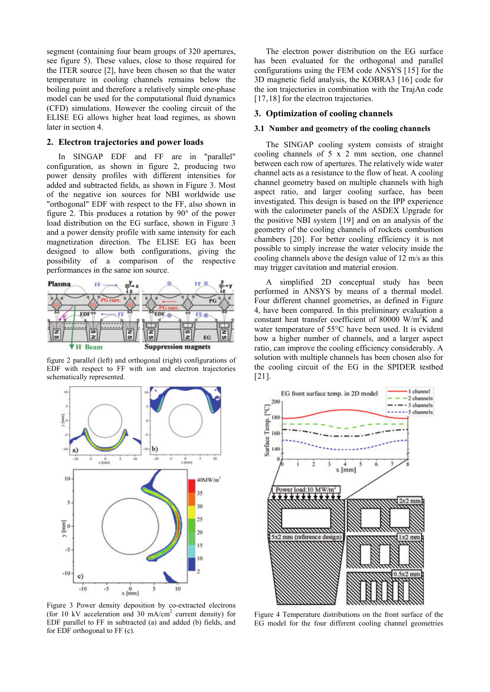segment (containing four beam groups of 320 apertures, see figure 5). These values, close to those required for the ITER source [[2\]](#page-0-0), have been chosen so that the water temperature in cooling channels remains below the boiling point and therefore a relatively simple one-phase model can be used for the computational fluid dynamics (CFD) simulations. However the cooling circuit of the ELISE EG allows higher heat load regimes, as shown later in section [4](#page-2-0).

#### **2. Electron trajectories and power loads**

In SINGAP EDF and FF are in "parallel" configuration, as shown in [figure 2,](#page-1-0) producing two power density profiles with different intensities for added and subtracted fields, as shown in [Figure 3.](#page-1-1) Most of the negative ion sources for NBI worldwide use "orthogonal" EDF with respect to the FF, also shown in [figure 2.](#page-1-0) This produces a rotation by 90° of the power load distribution on the EG surface, shown in [Figure 3](#page-1-1) and a power density profile with same intensity for each magnetization direction. The ELISE EG has been designed to allow both configurations, giving the possibility of a comparison of the respective performances in the same ion source.



<span id="page-1-0"></span>figure 2 parallel (left) and orthogonal (right) configurations of EDF with respect to FF with ion and electron trajectories schematically represented.



<span id="page-1-2"></span><span id="page-1-1"></span>Figure 3 Power density deposition by co-extracted electrons (for 10 kV acceleration and 30 mA/cm2 current density) for EDF parallel to FF in subtracted (a) and added (b) fields, and for EDF orthogonal to FF (c).

The electron power distribution on the EG surface has been evaluated for the orthogonal and parallel configurations using the FEM code ANSYS [[15](#page-3-1)] for the 3D magnetic field analysis, the KOBRA3 [[16](#page-3-1)] code for the ion trajectories in combination with the TrajAn code [[17](#page-3-1),[18](#page-3-1)] for the electron trajectories.

#### **3. Optimization of cooling channels**

#### **3.1 Number and geometry of the cooling channels**

The SINGAP cooling system consists of straight cooling channels of 5 x 2 mm section, one channel between each row of apertures. The relatively wide water channel acts as a resistance to the flow of heat. A cooling channel geometry based on multiple channels with high aspect ratio, and larger cooling surface, has been investigated. This design is based on the IPP experience with the calorimeter panels of the ASDEX Upgrade for the positive NBI system [[19](#page-3-1)] and on an analysis of the geometry of the cooling channels of rockets combustion chambers [[20](#page-3-1)]. For better cooling efficiency it is not possible to simply increase the water velocity inside the cooling channels above the design value of 12 m/s as this may trigger cavitation and material erosion.

A simplified 2D conceptual study has been performed in ANSYS by means of a thermal model. Four different channel geometries, as defined in [Figure](#page-1-2)  [4](#page-1-2), have been compared. In this preliminary evaluation a constant heat transfer coefficient of 80000 W/m<sup>2</sup>K and water temperature of 55°C have been used. It is evident how a higher number of channels, and a larger aspect ratio, can improve the cooling efficiency considerably. A solution with multiple channels has been chosen also for the cooling circuit of the EG in the SPIDER testbed [21].



Figure 4 Temperature distributions on the front surface of the EG model for the four different cooling channel geometries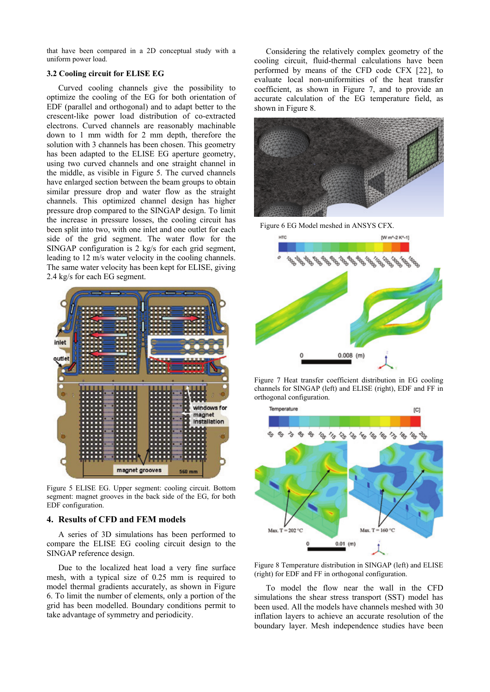that have been compared in a 2D conceptual study with a uniform power load.

#### **3.2 Cooling circuit for ELISE EG**

leading to 12 m/s water velocity in the cooling channels. The same water velocity has been kept for ELISE, giving 2.4 kg/s for each EG segment. Curved cooling channels give the possibility to optimize the cooling of the EG for both orientation of EDF (parallel and orthogonal) and to adapt better to the crescent-like power load distribution of co-extracted electrons. Curved channels are reasonably machinable down to 1 mm width for 2 mm depth, therefore the solution with 3 channels has been chosen. This geometry has been adapted to the ELISE EG aperture geometry, using two curved channels and one straight channel in the middle, as visible in [Figure 5](#page-2-1). The curved channels have enlarged section between the beam groups to obtain similar pressure drop and water flow as the straight channels. This optimized channel design has higher pressure drop compared to the SINGAP design. To limit the increase in pressure losses, the cooling circuit has been split into two, with one inlet and one outlet for each side of the grid segment. The water flow for the SINGAP configuration is 2 kg/s for each grid segment,

<span id="page-2-2"></span>

<span id="page-2-1"></span>Figure 5 ELISE EG. Upper segment: cooling circuit. Bottom segment: magnet grooves in the back side of the EG, for both EDF configuration.

#### <span id="page-2-0"></span>**4. Results of CFD and FEM models**

A series of 3D simulations has been performed to com pare the ELISE EG cooling circuit design to the SINGAP reference design.

[6.](#page-2-2) To limit the number of elements, only a portion of the gri d has been modelled. Boundary conditions permit to Due to the localized heat load a very fine surface mesh, with a typical size of 0.25 mm is required to model thermal gradients accurately, as shown in [Figure](#page-2-2)  take advantage of symmetry and periodicity.

evaluate local non-uniformities of the heat transfer coefficient, as shown in Figure 7, and to provide an accurate calculation of the EG temperature field, as shown in Figure 8. Considering the relatively complex geometry of the cooling circuit, fluid-thermal calculations have been performed by means of the CFD code CFX [[22](#page-3-1)], to



Figure 6 EG Model meshed in ANSYS CFX.



Figure 7 Heat transfer coefficient distribution in EG cooling channels for SINGAP (left) and ELISE (right), EDF and FF in orthogonal configuration.



Figure 8 Temperature distribution in SINGAP (left) and ELISE (right) for EDF and FF in orthogonal configuration.

To model the flow near the wall in the CFD simulations the shear stress transport (SST) model has been used. All the models have channels meshed with 30 inflation layers to achieve an accurate resolution of the boundary layer. Mesh independence studies have been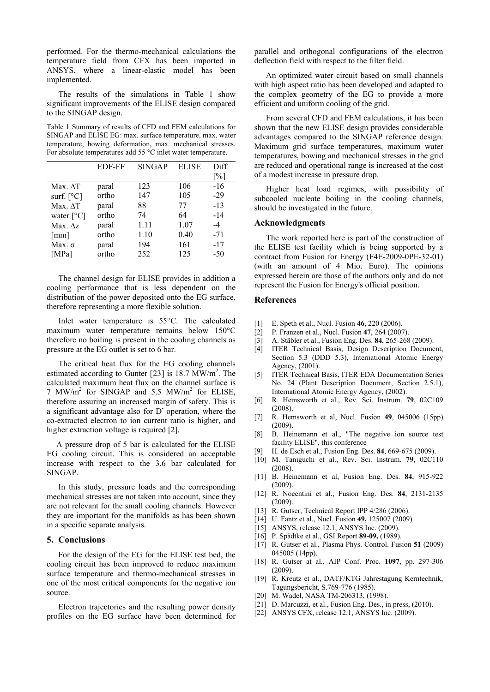temperature field from CFX has been imported in AN SYS, where a linear-elastic model has been performed. For the thermo-mechanical calculations the implemented.

The results of the simulations in Table 1 show significant improvements of the ELISE design compared to the SINGAP design.

SINGAP and ELISE EG: max. surface temperature, max. water temperature, bowing deformation, max. mechanical stresses. For absolute temperatures add 55  $\degree$ C inlet water temperature. Table 1 Summary of results of CFD and FEM calculations for

|                               | EDF-FF | <b>SINGAP</b> | <b>ELISE</b> | Diff. |
|-------------------------------|--------|---------------|--------------|-------|
|                               |        |               |              | $\%$  |
| Max. $\Delta T$               | paral  | 123           | 106          | -16   |
| surf. $\lceil^{\circ}C\rceil$ | ortho  | 147           | 105          | $-29$ |
| Max. AT                       | paral  | 88            | 77           | $-13$ |
| water $[^{\circ}C]$           | ortho  | 74            | 64           | $-14$ |
| Max. $\Delta z$ .             | paral  | 1.11          | 1.07         | -4    |
| $\lceil$ mm $\rceil$          | ortho  | 1.10          | 0.40         | $-71$ |
| Max. $\sigma$                 | paral  | 194           | 161          | $-17$ |
| [MPa]                         | ortho  | 252           | 125          | -50   |

The channel design for ELISE provides in addition a cooling performance that is less dependent on the dis tribution of the power deposited onto the EG surface, therefore representing a more flexible solution.

<span id="page-3-1"></span><span id="page-3-0"></span>maximum water temperature remains below 150°C the refore no boiling is present in the cooling channels as Inlet water temperature is 55°C. The calculated pressure at the EG outlet is set to 6 bar.

a significant advantage also for D operation, where the co -extracted electron to ion current ratio is higher, and The critical heat flux for the EG cooling channels estimated according to Gunter [[23](#page-4-0)] is 18.7  $\text{MW/m}^2$ . The calculated maximum heat flux on the channel surface is 7 MW/ $m^2$  for SINGAP and 5.5 MW/ $m^2$  for ELISE, therefore assuring an increased margin of safety. This is higher extraction voltage is required [2].

EG cooling circuit. This is considered an acceptable inc rease with respect to the 3.6 bar calculated for A pressure drop of 5 bar is calculated for the ELISE SINGAP.

are not relevant for the small cooling channels. However they are important for the manifolds as has been shown in a specific separate analysis. In this study, pressure loads and the corresponding mechanical stresses are not taken into account, since they

# **5. Conclusions**

surface temperature and thermo-mechanical stresses in one of the most critical components for the negative ion For the design of the EG for the ELISE test bed, the cooling circuit has been improved to reduce maximum source.

profiles on the EG surface have been determined for Electron trajectories and the resulting power density

par allel and orthogonal configurations of the electron deflection field with respect to the filter field.

with high aspect ratio has been developed and adapted to the complex geometry of the EG to provide a more An optimized water circuit based on small channels efficient and uniform cooling of the grid.

temperatures, bowing and mechanical stresses in the grid are reduced and operational range is increased at the cost From several CFD and FEM calculations, it has been shown that the new ELISE design provides considerable advantages compared to the SINGAP reference design. Maximum grid surface temperatures, maximum water of a modest increase in pressure drop.

Higher heat load regimes, with possibility of subcooled nucleate boiling in the cooling channels, shou ld be investigated in the future.

#### **Acknowledgments**

(with an amount of 4 Mio. Euro). The opinions expressed herein are those of the authors only and do not represent the Fusion for Energy's official position. The work reported here is part of the construction of the ELISE test facility which is being supported by a contract from Fusion for Energy (F4E-2009-0PE-32-01)

## **References**

- [1] E. Speth et al., Nucl. Fusion **46**, 220 (2006).
- [2] P. Franzen et al., Nucl. Fusion **47**, 264 (2007).
- [3] A. Stäbler et al., Fusion Eng. Des. **84**, 265-268 (2009).
- [4] ITER Technical Basis, Design Description Document, Section 5.3 (DDD 5.3), International Atomic Energy Agency, (2001).
- [5] ITER Technical Basis, ITER EDA Documentation Series No. 24 (Plant Description Document, Section 2.5.1), International Atomic Energy Agency, (2002).
- [6] R. Hemsworth et al., Rev. Sci. Instrum. **79**, 02C109 (2008).
- [7] R. Hemsworth et al, Nucl. Fusion **49**, 045006 (15pp) (2009).
- facility ELISE", this conference [8] B. Heinemann et al., "The negative ion source test
- [9] H. de Esch et al., Fusion Eng. Des. **84**, 669-675 (2009).
- [10] M. Taniguchi et al., Rev. Sci. Instrum. 79, 02C110 (2008).
- [11] B. Heinemann et al, Fusion Eng. Des. **84**, 915-922 (2009).
- [12] R. Nocentini et al., Fusion Eng. Des. 84, 2131-2135 (2009).
- [13] R. Gutser, Technical Report IPP 4/286 (2006).
- [14] U. Fantz et al., Nucl. Fusion **49,** 125007 (2009).
- [15] ANSYS, release 12.1, ANSYS Inc. (2009).
- [16] P. Spädtke et al., GSI Report **89-09,** (1989).
- [17] R. Gutser et al., Plasma Phys. Control. Fusion **51** (2009) 045005 (14pp).
- [18] R. Gutser at al., AIP Conf. Proc. 1097, pp. 297-306 (2009).
- [19] R. Kreutz et al., DATF/KTG Jahrestagung Kerntechnik, Tagungsbericht, S.769-776 (1985).
- [20] M. Wadel, NASA TM-206313, (1998).
- [21] D. Marcuzzi, et al., Fusion Eng. Des., in press, (2010).
- [22] ANSYS CFX, release 12.1, ANSYS Inc. (2009).